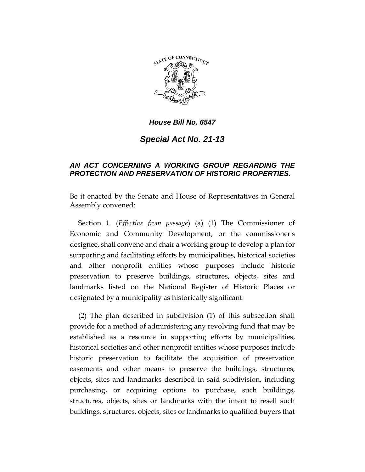

*House Bill No. 6547*

*Special Act No. 21-13*

## *AN ACT CONCERNING A WORKING GROUP REGARDING THE PROTECTION AND PRESERVATION OF HISTORIC PROPERTIES.*

Be it enacted by the Senate and House of Representatives in General Assembly convened:

Section 1. (*Effective from passage*) (a) (1) The Commissioner of Economic and Community Development, or the commissioner's designee, shall convene and chair a working group to develop a plan for supporting and facilitating efforts by municipalities, historical societies and other nonprofit entities whose purposes include historic preservation to preserve buildings, structures, objects, sites and landmarks listed on the National Register of Historic Places or designated by a municipality as historically significant.

(2) The plan described in subdivision (1) of this subsection shall provide for a method of administering any revolving fund that may be established as a resource in supporting efforts by municipalities, historical societies and other nonprofit entities whose purposes include historic preservation to facilitate the acquisition of preservation easements and other means to preserve the buildings, structures, objects, sites and landmarks described in said subdivision, including purchasing, or acquiring options to purchase, such buildings, structures, objects, sites or landmarks with the intent to resell such buildings, structures, objects, sites or landmarks to qualified buyers that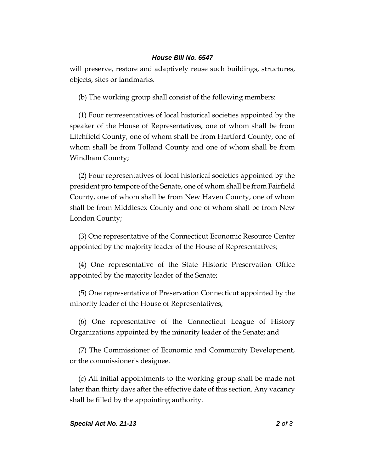## *House Bill No. 6547*

will preserve, restore and adaptively reuse such buildings, structures, objects, sites or landmarks.

(b) The working group shall consist of the following members:

(1) Four representatives of local historical societies appointed by the speaker of the House of Representatives, one of whom shall be from Litchfield County, one of whom shall be from Hartford County, one of whom shall be from Tolland County and one of whom shall be from Windham County;

(2) Four representatives of local historical societies appointed by the president pro tempore of the Senate, one of whom shall be from Fairfield County, one of whom shall be from New Haven County, one of whom shall be from Middlesex County and one of whom shall be from New London County;

(3) One representative of the Connecticut Economic Resource Center appointed by the majority leader of the House of Representatives;

(4) One representative of the State Historic Preservation Office appointed by the majority leader of the Senate;

(5) One representative of Preservation Connecticut appointed by the minority leader of the House of Representatives;

(6) One representative of the Connecticut League of History Organizations appointed by the minority leader of the Senate; and

(7) The Commissioner of Economic and Community Development, or the commissioner's designee.

(c) All initial appointments to the working group shall be made not later than thirty days after the effective date of this section. Any vacancy shall be filled by the appointing authority.